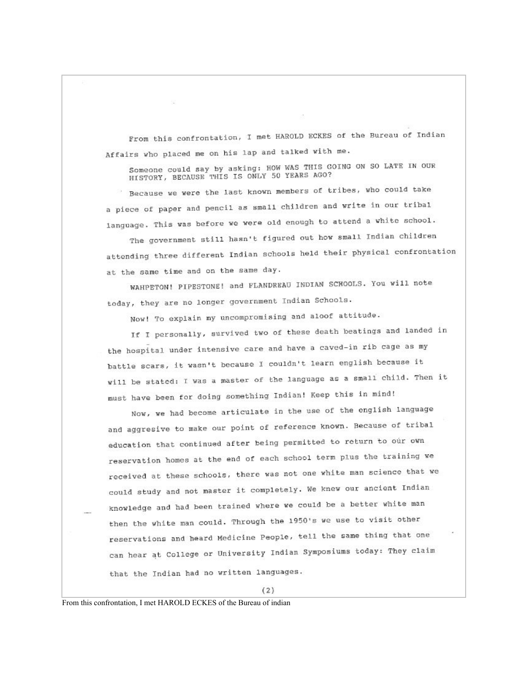From this confrontation, I met HAROLD ECKES of the Bureau of Indian Affairs who placed me on his lap and talked with me.

Someone could say by asking: HOW WAS THIS GOING ON SO LATE IN OUR HISTORY, BECAUSE THIS IS ONLY 50 YEARS AGO?

Because we were the last known members of tribes, who could take a piece of paper and pencil as small children and write in our tribal language. This was before we were old enough to attend a white school.

The government still hasn't figured out how small Indian children attending three different Indian schools held their physical confrontation at the same time and on the same day.

WAHPETON! PIPESTONE! and FLANDREAU INDIAN SCHOOLS. You will note today, they are no longer government Indian Schools.

Now! To explain my uncompromising and aloof attitude.

If I personally, survived two of these death beatings and landed in the hospital under intensive care and have a caved-in rib cage as my battle scars, it wasn't because I couldn't learn english because it will be stated: I was a master of the language as a small child. Then it must have been for doing something Indian! Keep this in mind!

Now, we had become articulate in the use of the english language and aggresive to make our point of reference known. Because of tribal education that continued after being permitted to return to our own reservation homes at the end of each school term plus the training we received at these schools, there was not one white man science that we could study and not master it completely. We knew our ancient Indian knowledge and had been trained where we could be a better white man then the white man could. Through the 1950's we use to visit other reservations and heard Medicine People, tell the same thing that one can hear at College or University Indian Symposiums today: They claim that the Indian had no written languages.

From this confrontation, I met HAROLD ECKES of the Bureau of indian